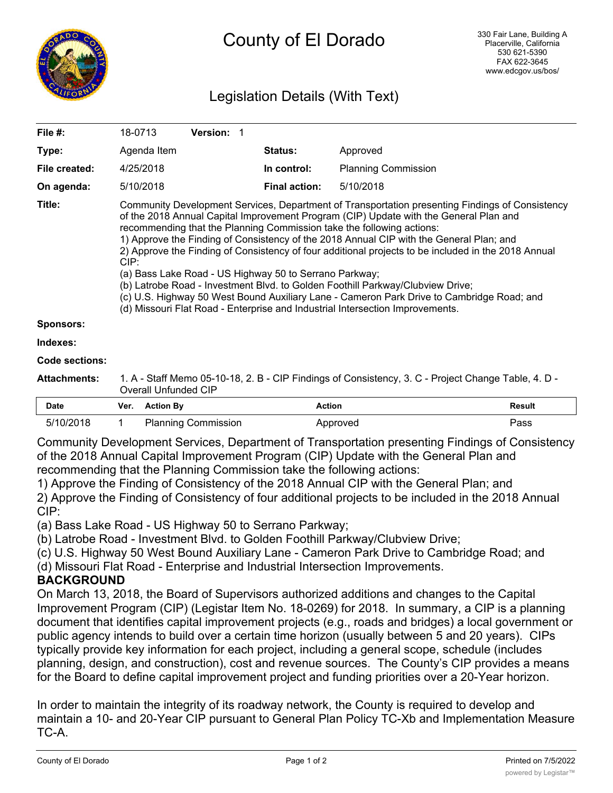

## Legislation Details (With Text)

| File #:               | <b>Version: 1</b><br>18-0713                                                                                                                                                                                                                                                                                                                                                                                                                                                                                                                                                                                                                                                                                                                                                                          |                      |                            |  |  |
|-----------------------|-------------------------------------------------------------------------------------------------------------------------------------------------------------------------------------------------------------------------------------------------------------------------------------------------------------------------------------------------------------------------------------------------------------------------------------------------------------------------------------------------------------------------------------------------------------------------------------------------------------------------------------------------------------------------------------------------------------------------------------------------------------------------------------------------------|----------------------|----------------------------|--|--|
| Type:                 | Agenda Item                                                                                                                                                                                                                                                                                                                                                                                                                                                                                                                                                                                                                                                                                                                                                                                           | <b>Status:</b>       | Approved                   |  |  |
| File created:         | 4/25/2018                                                                                                                                                                                                                                                                                                                                                                                                                                                                                                                                                                                                                                                                                                                                                                                             | In control:          | <b>Planning Commission</b> |  |  |
| On agenda:            | 5/10/2018                                                                                                                                                                                                                                                                                                                                                                                                                                                                                                                                                                                                                                                                                                                                                                                             | <b>Final action:</b> | 5/10/2018                  |  |  |
| Title:                | Community Development Services, Department of Transportation presenting Findings of Consistency<br>of the 2018 Annual Capital Improvement Program (CIP) Update with the General Plan and<br>recommending that the Planning Commission take the following actions:<br>1) Approve the Finding of Consistency of the 2018 Annual CIP with the General Plan; and<br>2) Approve the Finding of Consistency of four additional projects to be included in the 2018 Annual<br>CIP:<br>(a) Bass Lake Road - US Highway 50 to Serrano Parkway;<br>(b) Latrobe Road - Investment Blvd. to Golden Foothill Parkway/Clubview Drive;<br>(c) U.S. Highway 50 West Bound Auxiliary Lane - Cameron Park Drive to Cambridge Road; and<br>(d) Missouri Flat Road - Enterprise and Industrial Intersection Improvements. |                      |                            |  |  |
| <b>Sponsors:</b>      |                                                                                                                                                                                                                                                                                                                                                                                                                                                                                                                                                                                                                                                                                                                                                                                                       |                      |                            |  |  |
| Indexes:              |                                                                                                                                                                                                                                                                                                                                                                                                                                                                                                                                                                                                                                                                                                                                                                                                       |                      |                            |  |  |
| <b>Code sections:</b> |                                                                                                                                                                                                                                                                                                                                                                                                                                                                                                                                                                                                                                                                                                                                                                                                       |                      |                            |  |  |
| <b>Attachments:</b>   | 1. A - Staff Memo 05-10-18, 2. B - CIP Findings of Consistency, 3. C - Project Change Table, 4. D -<br><b>Overall Unfunded CIP</b>                                                                                                                                                                                                                                                                                                                                                                                                                                                                                                                                                                                                                                                                    |                      |                            |  |  |

| <b>Date</b> | Ver. Action By             | Action   | <b>Result</b> |
|-------------|----------------------------|----------|---------------|
| 5/10/2018   | <b>Planning Commission</b> | Approved | Pass          |

Community Development Services, Department of Transportation presenting Findings of Consistency of the 2018 Annual Capital Improvement Program (CIP) Update with the General Plan and recommending that the Planning Commission take the following actions:

1) Approve the Finding of Consistency of the 2018 Annual CIP with the General Plan; and 2) Approve the Finding of Consistency of four additional projects to be included in the 2018 Annual CIP:

(a) Bass Lake Road - US Highway 50 to Serrano Parkway;

(b) Latrobe Road - Investment Blvd. to Golden Foothill Parkway/Clubview Drive;

(c) U.S. Highway 50 West Bound Auxiliary Lane - Cameron Park Drive to Cambridge Road; and

(d) Missouri Flat Road - Enterprise and Industrial Intersection Improvements.

## **BACKGROUND**

On March 13, 2018, the Board of Supervisors authorized additions and changes to the Capital Improvement Program (CIP) (Legistar Item No. 18-0269) for 2018. In summary, a CIP is a planning document that identifies capital improvement projects (e.g., roads and bridges) a local government or public agency intends to build over a certain time horizon (usually between 5 and 20 years). CIPs typically provide key information for each project, including a general scope, schedule (includes planning, design, and construction), cost and revenue sources. The County's CIP provides a means for the Board to define capital improvement project and funding priorities over a 20-Year horizon.

In order to maintain the integrity of its roadway network, the County is required to develop and maintain a 10- and 20-Year CIP pursuant to General Plan Policy TC-Xb and Implementation Measure TC-A.